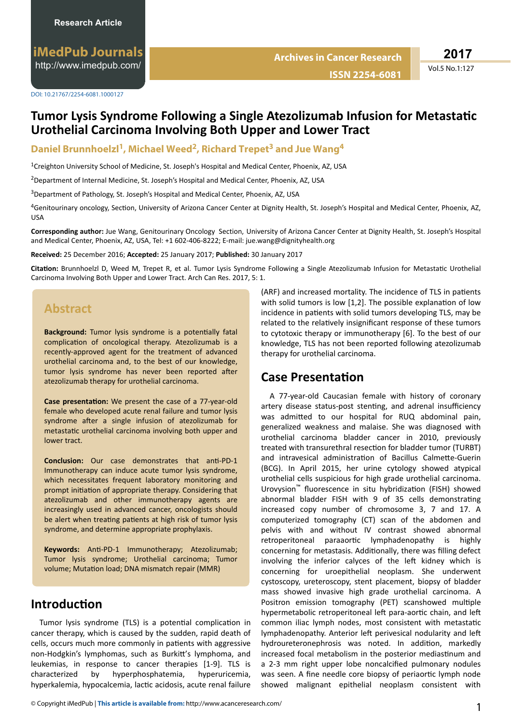**ISSN 2254-6081**

**Archives in Cancer Research**

Vol.5 No.1:127

## **Tumor Lysis Syndrome Following a Single Atezolizumab Infusion for Metastatic Urothelial Carcinoma Involving Both Upper and Lower Tract**

#### **Daniel Brunnhoelzl<sup>1</sup> , Michael Weed<sup>2</sup> , Richard Trepet<sup>3</sup> and Jue Wang<sup>4</sup>**

<sup>1</sup>Creighton University School of Medicine, St. Joseph's Hospital and Medical Center, Phoenix, AZ, USA

<sup>2</sup>Department of Internal Medicine, St. Joseph's Hospital and Medical Center, Phoenix, AZ, USA

<sup>3</sup>Department of Pathology, St. Joseph's Hospital and Medical Center, Phoenix, AZ, USA

4Genitourinary oncology, Section, University of Arizona Cancer Center at Dignity Health, St. Joseph's Hospital and Medical Center, Phoenix, AZ, USA

Corresponding author: Jue Wang, Genitourinary Oncology Section, University of Arizona Cancer Center at Dignity Health, St. Joseph's Hospital and Medical Center, Phoenix, AZ, USA, Tel: +1 602-406-8222; E-mail: jue.wang@dignityhealth.org

**Received:** 25 December 2016; **Accepted:** 25 January 2017; **Published:** 30 January 2017

Citation: Brunnhoelzl D, Weed M, Trepet R, et al. Tumor Lysis Syndrome Following a Single Atezolizumab Infusion for Metastatic Urothelial Carcinoma Involving Both Upper and Lower Tract. Arch Can Res. 2017, 5: 1.

## **Abstract**

Background: Tumor lysis syndrome is a potentially fatal complication of oncological therapy. Atezolizumab is a recently-approved agent for the treatment of advanced urothelial carcinoma and, to the best of our knowledge, tumor lysis syndrome has never been reported after atezolizumab therapy for urothelial carcinoma.

**Case presentation:** We present the case of a 77-year-old female who developed acute renal failure and tumor lysis syndrome after a single infusion of atezolizumab for metastatic urothelial carcinoma involving both upper and lower tract.

**Conclusion:** Our case demonstrates that anti-PD-1 Immunotherapy can induce acute tumor lysis syndrome, which necessitates frequent laboratory monitoring and prompt initiation of appropriate therapy. Considering that atezolizumab and other immunotherapy agents are increasingly used in advanced cancer, oncologists should be alert when treating patients at high risk of tumor lysis syndrome, and determine appropriate prophylaxis.

Keywords: Anti-PD-1 Immunotherapy; Atezolizumab; Tumor lysis syndrome; Urothelial carcinoma; Tumor volume; Mutation load; DNA mismatch repair (MMR)

#### **Introduction**

Tumor lysis syndrome (TLS) is a potential complication in cancer therapy, which is caused by the sudden, rapid death of cells, occurs much more commonly in patients with aggressive non-Hodgkin's lymphomas, such as Burkitt's lymphoma, and leukemias, in response to cancer therapies [1-9]. TLS is characterized by hyperphosphatemia, hyperuricemia, hyperkalemia, hypocalcemia, lactic acidosis, acute renal failure (ARF) and increased mortality. The incidence of TLS in patients with solid tumors is low  $[1,2]$ . The possible explanation of low incidence in patients with solid tumors developing TLS, may be related to the relatively insignificant response of these tumors to cytotoxic therapy or immunotherapy [6]. To the best of our knowledge, TLS has not been reported following atezolizumab therapy for urothelial carcinoma.

## **Case Presentation**

A 77-year-old Caucasian female with history of coronary artery disease status-post stenting, and adrenal insufficiency was admitted to our hospital for RUQ abdominal pain, generalized weakness and malaise. She was diagnosed with urothelial carcinoma bladder cancer in 2010, previously treated with transurethral resection for bladder tumor (TURBT) and intravesical administration of Bacillus Calmette-Guerin (BCG). In April 2015, her urine cytology showed atypical urothelial cells suspicious for high grade urothelial carcinoma. Urovysion<sup>™</sup> fluorescence in situ hybridization (FISH) showed abnormal bladder FISH with 9 of 35 cells demonstrating increased copy number of chromosome 3, 7 and 17. A computerized tomography (CT) scan of the abdomen and pelvis with and without IV contrast showed abnormal retroperitoneal paraaortic lymphadenopathy is highly concerning for metastasis. Additionally, there was filling defect involving the inferior calyces of the left kidney which is concerning for uroepithelial neoplasm. She underwent cystoscopy, ureteroscopy, stent placement, biopsy of bladder mass showed invasive high grade urothelial carcinoma. A Positron emission tomography (PET) scanshowed multiple hypermetabolic retroperitoneal left para-aortic chain, and left common iliac lymph nodes, most consistent with metastatic lymphadenopathy. Anterior left perivesical nodularity and left hydroureteronephrosis was noted. In addition, markedly increased focal metabolism in the posterior mediastinum and a 2-3 mm right upper lobe noncalcified pulmonary nodules was seen. A fine needle core biopsy of periaortic lymph node showed malignant epithelial neoplasm consistent with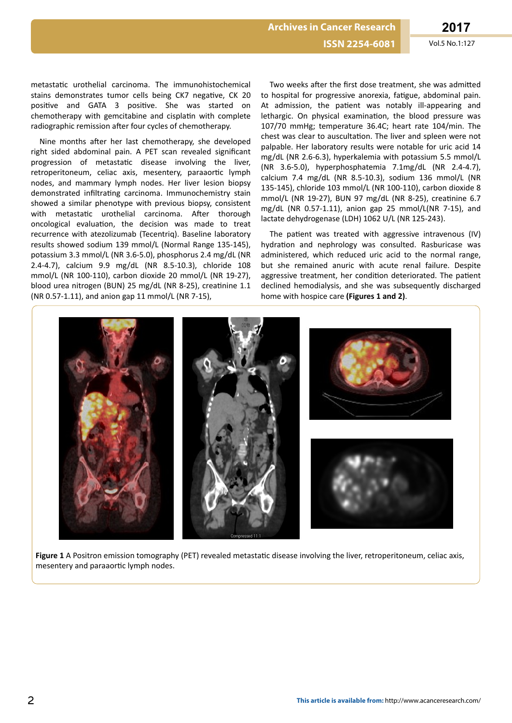**ISSN 2254-6081** Vol.5 No.1:127

metastatic urothelial carcinoma. The immunohistochemical stains demonstrates tumor cells being CK7 negative, CK 20 positive and GATA 3 positive. She was started on chemotherapy with gemcitabine and cisplatin with complete radiographic remission after four cycles of chemotherapy.

Nine months after her last chemotherapy, she developed right sided abdominal pain. A PET scan revealed significant progression of metastatic disease involving the liver, retroperitoneum, celiac axis, mesentery, paraaortic lymph nodes, and mammary lymph nodes. Her liver lesion biopsy demonstrated infiltrating carcinoma. Immunochemistry stain showed a similar phenotype with previous biopsy, consistent with metastatic urothelial carcinoma. After thorough oncological evaluation, the decision was made to treat recurrence with atezolizumab (Tecentriq). Baseline laboratory results showed sodium 139 mmol/L (Normal Range 135-145), potassium 3.3 mmol/L (NR 3.6-5.0), phosphorus 2.4 mg/dL (NR 2.4-4.7), calcium 9.9 mg/dL (NR 8.5-10.3), chloride 108 mmol/L (NR 100-110), carbon dioxide 20 mmol/L (NR 19-27), blood urea nitrogen (BUN) 25 mg/dL (NR 8-25), creatinine 1.1 (NR 0.57-1.11), and anion gap 11 mmol/L (NR 7-15),

Two weeks after the first dose treatment, she was admitted to hospital for progressive anorexia, fatigue, abdominal pain. At admission, the patient was notably ill-appearing and lethargic. On physical examination, the blood pressure was 107/70 mmHg; temperature 36.4C; heart rate 104/min. The chest was clear to auscultation. The liver and spleen were not palpable. Her laboratory results were notable for uric acid 14 mg/dL (NR 2.6-6.3), hyperkalemia with potassium 5.5 mmol/L (NR 3.6-5.0), hyperphosphatemia 7.1mg/dL (NR 2.4-4.7), calcium 7.4 mg/dL (NR 8.5-10.3), sodium 136 mmol/L (NR 135-145), chloride 103 mmol/L (NR 100-110), carbon dioxide 8 mmol/L (NR 19-27), BUN 97 mg/dL (NR 8-25), creatinine 6.7 mg/dL (NR 0.57-1.11), anion gap 25 mmol/L(NR 7-15), and lactate dehydrogenase (LDH) 1062 U/L (NR 125-243).

The patient was treated with aggressive intravenous (IV) hydration and nephrology was consulted. Rasburicase was administered, which reduced uric acid to the normal range, but she remained anuric with acute renal failure. Despite aggressive treatment, her condition deteriorated. The patient declined hemodialysis, and she was subsequently discharged home with hospice care **(Figures 1 and 2)**.



Figure 1 A Positron emission tomography (PET) revealed metastatic disease involving the liver, retroperitoneum, celiac axis, mesentery and paraaortic lymph nodes.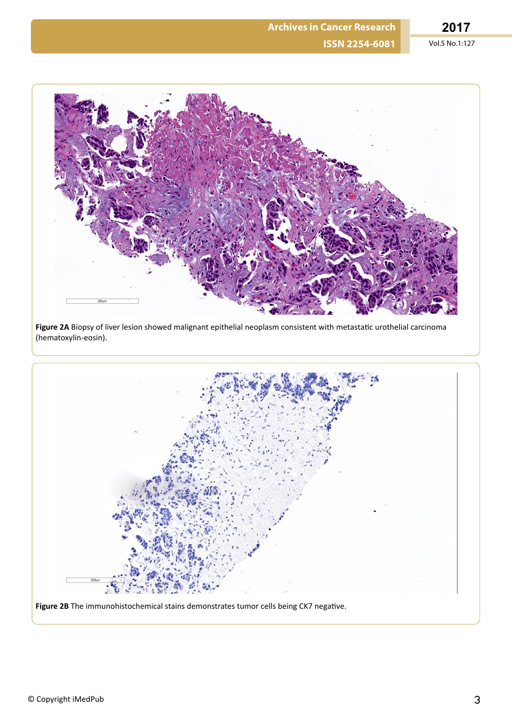

Figure 2A Biopsy of liver lesion showed malignant epithelial neoplasm consistent with metastatic urothelial carcinoma (hematoxylin-eosin).



Figure 2B The immunohistochemical stains demonstrates tumor cells being CK7 negative.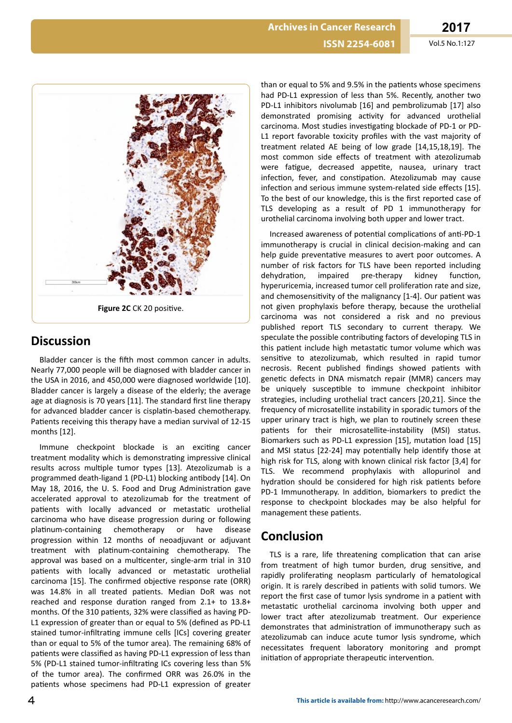

### **Discussion**

Bladder cancer is the fifth most common cancer in adults. Nearly 77,000 people will be diagnosed with bladder cancer in the USA in 2016, and 450,000 were diagnosed worldwide [10]. Bladder cancer is largely a disease of the elderly; the average age at diagnosis is 70 years [11]. The standard first line therapy for advanced bladder cancer is cisplatin-based chemotherapy. Patients receiving this therapy have a median survival of 12-15 months [12].

Immune checkpoint blockade is an exciting cancer treatment modality which is demonstrating impressive clinical results across multiple tumor types [13]. Atezolizumab is a programmed death-ligand 1 (PD-L1) blocking antibody [14]. On May 18, 2016, the U.S. Food and Drug Administration gave accelerated approval to atezolizumab for the treatment of patients with locally advanced or metastatic urothelial carcinoma who have disease progression during or following platinum-containing chemotherapy or have disease progression within 12 months of neoadjuvant or adjuvant treatment with platinum-containing chemotherapy. The approval was based on a multicenter, single-arm trial in 310 patients with locally advanced or metastatic urothelial carcinoma [15]. The confirmed objective response rate (ORR) was 14.8% in all treated patients. Median DoR was not reached and response duration ranged from  $2.1+$  to  $13.8+$ months. Of the 310 patients, 32% were classified as having PD-L1 expression of greater than or equal to 5% (defined as PD-L1 stained tumor-infiltrating immune cells [ICs] covering greater than or equal to 5% of the tumor area). The remaining 68% of patients were classified as having PD-L1 expression of less than 5% (PD-L1 stained tumor-infiltrating ICs covering less than 5% of the tumor area). The confirmed ORR was 26.0% in the patients whose specimens had PD-L1 expression of greater

than or equal to 5% and 9.5% in the patients whose specimens had PD-L1 expression of less than 5%. Recently, another two PD-L1 inhibitors nivolumab [16] and pembrolizumab [17] also demonstrated promising activity for advanced urothelial carcinoma. Most studies investigating blockade of PD-1 or PD-L1 report favorable toxicity profiles with the vast majority of treatment related AE being of low grade [14,15,18,19]. The most common side effects of treatment with atezolizumab were fatigue, decreased appetite, nausea, urinary tract infection, fever, and constipation. Atezolizumab may cause infection and serious immune system-related side effects [15]. To the best of our knowledge, this is the first reported case of TLS developing as a result of PD 1 immunotherapy for urothelial carcinoma involving both upper and lower tract.

Increased awareness of potential complications of anti-PD-1 immunotherapy is crucial in clinical decision-making and can help guide preventative measures to avert poor outcomes. A number of risk factors for TLS have been reported including dehydration, impaired pre-therapy kidney function, hyperuricemia, increased tumor cell proliferation rate and size, and chemosensitivity of the malignancy [1-4]. Our patient was not given prophylaxis before therapy, because the urothelial carcinoma was not considered a risk and no previous published report TLS secondary to current therapy. We speculate the possible contributing factors of developing TLS in this patient include high metastatic tumor volume which was sensitive to atezolizumab, which resulted in rapid tumor necrosis. Recent published findings showed patients with genetic defects in DNA mismatch repair (MMR) cancers may be uniquely susceptible to immune checkpoint inhibitor strategies, including urothelial tract cancers [20,21]. Since the frequency of microsatellite instability in sporadic tumors of the upper urinary tract is high, we plan to routinely screen these patients for their microsatellite-instability (MSI) status. Biomarkers such as PD-L1 expression [15], mutation load [15] and MSI status [22-24] may potentially help identify those at high risk for TLS, along with known clinical risk factor [3,4] for TLS. We recommend prophylaxis with allopurinol and hydration should be considered for high risk patients before PD-1 Immunotherapy. In addition, biomarkers to predict the response to checkpoint blockades may be also helpful for management these patients.

# **Conclusion**

TLS is a rare, life threatening complication that can arise from treatment of high tumor burden, drug sensitive, and rapidly proliferating neoplasm particularly of hematological origin. It is rarely described in patients with solid tumors. We report the first case of tumor lysis syndrome in a patient with metastatic urothelial carcinoma involving both upper and lower tract after atezolizumab treatment. Our experience demonstrates that administration of immunotherapy such as atezolizumab can induce acute tumor lysis syndrome, which necessitates frequent laboratory monitoring and prompt initiation of appropriate therapeutic intervention.